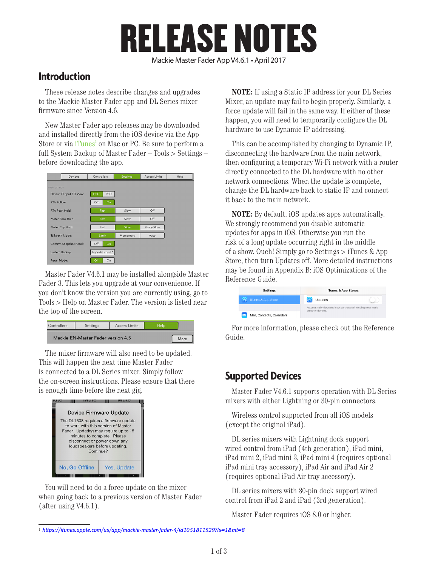# RELEASE NOTES

#### Mackie Master Fader App V4.6.1 • April 2017

#### **Introduction**

These release notes describe changes and upgrades to the Mackie Master Fader app and DL Series mixer firmware since Version 4.6.

New Master Fader app releases may be downloaded and installed directly from the iOS device via the App Store or via iTunes<sup>1</sup> on Mac or PC. Be sure to perform a full System Backup of Master Fader – Tools > Settings – before downloading the app.

|                         | <b>Devices</b>           | Controllers   | <b>Settings</b> | Access Limits      | Help |
|-------------------------|--------------------------|---------------|-----------------|--------------------|------|
| <b>IPAD SETTINGS</b>    |                          |               |                 |                    |      |
| Default Output EQ View: |                          | GEQ<br>PEQ    |                 |                    |      |
| <b>RTA Follow:</b>      |                          | Off<br>On     |                 |                    |      |
| RTA Peak Hold:          |                          | Fast          | Slow            | Off                |      |
|                         | Meter Peak Hold:         | Fast          | Slow            | Off                |      |
|                         | Meter Clip Hold:         | Fast          | Slow            | <b>Really Slow</b> |      |
|                         | Talkback Mode:           | Latch         | Momentary       | Auto               |      |
|                         | Confirm Snapshot Recall: | Off<br>On     |                 |                    |      |
| System Backup:          |                          | Import/Export |                 |                    |      |
| Retail Mode:            |                          | Off<br>On     |                 |                    |      |

Master Fader V4.6.1 may be installed alongside Master Fader 3. This lets you upgrade at your convenience. If you don't know the version you are currently using, go to Tools > Help on Master Fader. The version is listed near the top of the screen.

| Controllers | Settinas                           | <b>Access Limits</b> |  |
|-------------|------------------------------------|----------------------|--|
|             | Mackie EN-Master Fader version 4.5 | More                 |  |

The mixer firmware will also need to be updated. This will happen the next time Master Fader is connected to a DL Series mixer. Simply follow the on-screen instructions. Please ensure that there is enough time before the next gig.



You will need to do a force update on the mixer when going back to a previous version of Master Fader (after using V4.6.1).

**NOTE:** If using a Static IP address for your DL Series Mixer, an update may fail to begin properly. Similarly, a force update will fail in the same way. If either of these happen, you will need to temporarily configure the DL hardware to use Dynamic IP addressing.

This can be accomplished by changing to Dynamic IP, disconnecting the hardware from the main network, then configuring a temporary Wi-Fi network with a router directly connected to the DL hardware with no other network connections. When the update is complete, change the DL hardware back to static IP and connect it back to the main network.

**NOTE:** By default, iOS updates apps automatically. We strongly recommend you disable automatic updates for apps in iOS. Otherwise you run the risk of a long update occurring right in the middle of a show. Ouch! Simply go to Settings > iTunes & App Store, then turn Updates off. More detailed instructions may be found in Appendix B: iOS Optimizations of the Reference Guide.

| Settings                  | iTunes & App Stores                                                             |  |  |
|---------------------------|---------------------------------------------------------------------------------|--|--|
| iTunes & App Store        | Updates                                                                         |  |  |
|                           | Automatically download new purchases (including free) made<br>on other devices. |  |  |
| Mail, Contacts, Calendars |                                                                                 |  |  |

For more information, please check out the Reference Guide.

#### **Supported Devices**

Master Fader V4.6.1 supports operation with DL Series mixers with either Lightning or 30-pin connectors.

Wireless control supported from all iOS models (except the original iPad).

DL series mixers with Lightning dock support wired control from iPad (4th generation), iPad mini, iPad mini 2, iPad mini 3, iPad mini 4 (requires optional iPad mini tray accessory), iPad Air and iPad Air 2 (requires optional iPad Air tray accessory).

DL series mixers with 30-pin dock support wired control from iPad 2 and iPad (3rd generation).

Master Fader requires iOS 8.0 or higher.

<sup>1</sup> *https://itunes.apple.com/us/app/mackie-master-fader-4/id1051811529?ls=1&mt=8*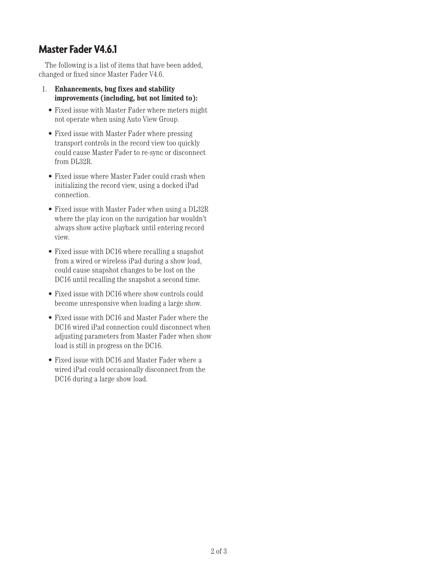### **Master Fader V4.6.1**

The following is a list of items that have been added, changed or fixed since Master Fader V4.6.

- 1. **Enhancements, bug fixes and stability improvements (including, but not limited to):**
	- Fixed issue with Master Fader where meters might not operate when using Auto View Group.
	- Fixed issue with Master Fader where pressing transport controls in the record view too quickly could cause Master Fader to re-sync or disconnect from DL32R.
	- Fixed issue where Master Fader could crash when initializing the record view, using a docked iPad connection.
	- Fixed issue with Master Fader when using a DL32R where the play icon on the navigation bar wouldn't always show active playback until entering record view.
	- Fixed issue with DC16 where recalling a snapshot from a wired or wireless iPad during a show load, could cause snapshot changes to be lost on the DC16 until recalling the snapshot a second time.
	- Fixed issue with DC16 where show controls could become unresponsive when loading a large show.
	- Fixed issue with DC16 and Master Fader where the DC16 wired iPad connection could disconnect when adjusting parameters from Master Fader when show load is still in progress on the DC16.
	- Fixed issue with DC16 and Master Fader where a wired iPad could occasionally disconnect from the DC16 during a large show load.